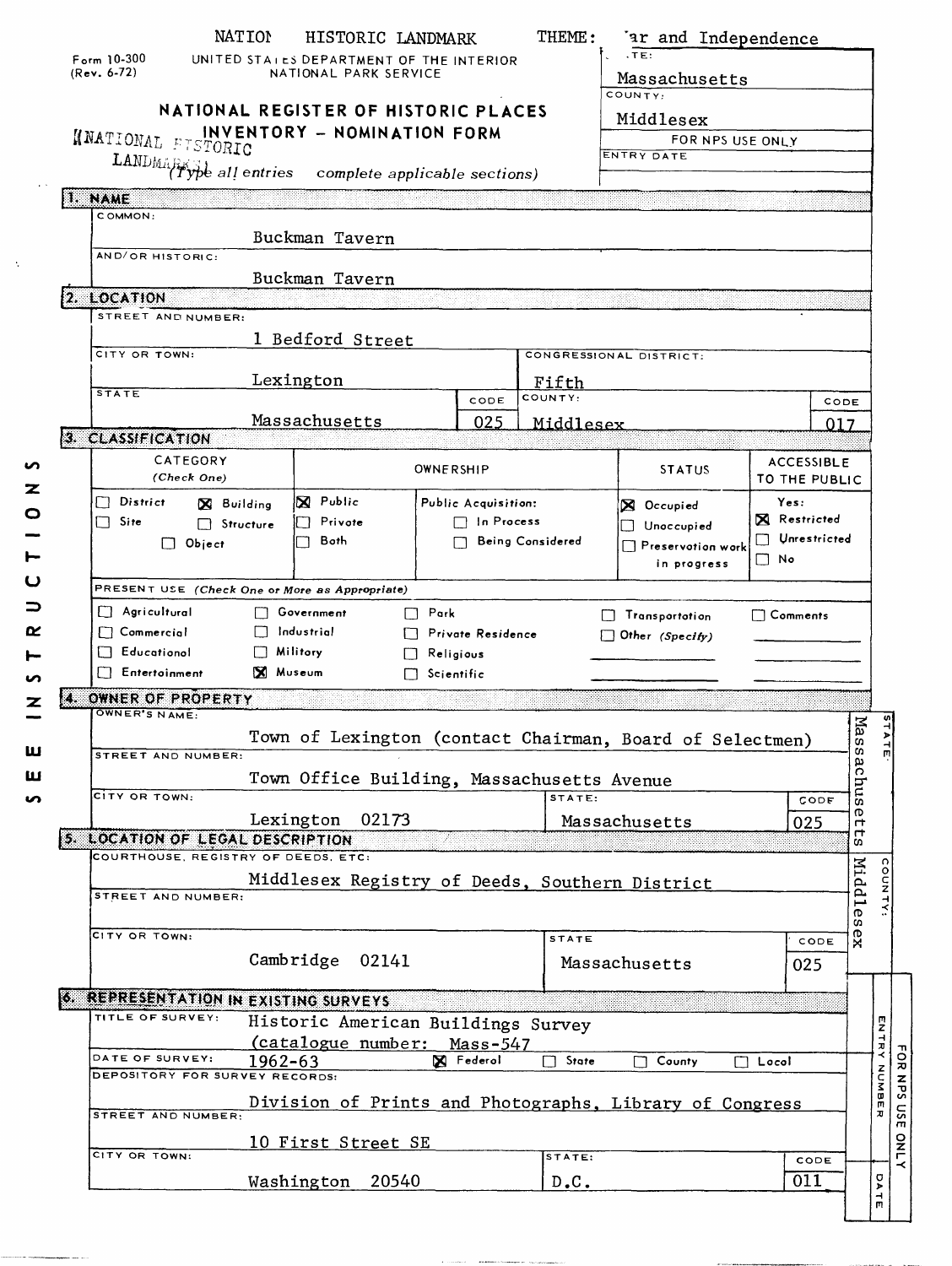|    | Form $10-300$<br>$(Rev. 6-72)$                                                                                                                                                                 | NATION                             | HISTORIC LANDMARK<br>UNITED STAILS DEPARTMENT OF THE INTERIOR<br>NATIONAL PARK SERVICE               |                                                                                  |  | THEME:                                                                                                                                           | 'ar and Independence<br>T <sub>E</sub><br>Massachusetts       |                   |                                    |                          |             |
|----|------------------------------------------------------------------------------------------------------------------------------------------------------------------------------------------------|------------------------------------|------------------------------------------------------------------------------------------------------|----------------------------------------------------------------------------------|--|--------------------------------------------------------------------------------------------------------------------------------------------------|---------------------------------------------------------------|-------------------|------------------------------------|--------------------------|-------------|
|    | NNATIONAL FTSTORIC<br>LANDMARK of all entries                                                                                                                                                  |                                    | NATIONAL REGISTER OF HISTORIC PLACES<br>INVENTORY - NOMINATION FORM<br>complete applicable sections) |                                                                                  |  |                                                                                                                                                  | COUNTY:<br>Middlesex<br>FOR NPS USE ONLY<br><b>ENTRY DATE</b> |                   |                                    |                          |             |
|    | 1. NAME<br>COMMON:                                                                                                                                                                             |                                    | Buckman Tavern                                                                                       |                                                                                  |  |                                                                                                                                                  |                                                               |                   |                                    |                          |             |
|    | AND/OR HISTORIC:                                                                                                                                                                               |                                    | Buckman Tavern                                                                                       |                                                                                  |  |                                                                                                                                                  |                                                               |                   |                                    |                          |             |
|    | 2. LOCATION<br>STREET AND NUMBER:                                                                                                                                                              |                                    |                                                                                                      |                                                                                  |  |                                                                                                                                                  |                                                               |                   |                                    |                          |             |
|    | CITY OR TOWN:                                                                                                                                                                                  |                                    | 1 Bedford Street                                                                                     |                                                                                  |  |                                                                                                                                                  | CONGRESSIONAL DISTRICT:                                       |                   |                                    |                          |             |
|    |                                                                                                                                                                                                |                                    | Lexington                                                                                            |                                                                                  |  | Fifth                                                                                                                                            |                                                               |                   |                                    |                          |             |
|    | <b>STATE</b>                                                                                                                                                                                   |                                    | Massachusetts                                                                                        | CODE<br>025                                                                      |  | COUNTY:<br>Middlesex                                                                                                                             |                                                               |                   | CODE<br>017                        |                          |             |
|    | 3. CLASSIFICATION                                                                                                                                                                              |                                    |                                                                                                      |                                                                                  |  |                                                                                                                                                  |                                                               |                   |                                    |                          |             |
|    | CATEGORY<br>(Check One)                                                                                                                                                                        |                                    |                                                                                                      | <b>OWNERSHIP</b>                                                                 |  |                                                                                                                                                  | <b>STATUS</b>                                                 |                   | <b>ACCESSIBLE</b><br>TO THE PUBLIC |                          |             |
|    | <b>X</b> Public<br>$\Box$ District<br>Public Acquisition:<br>X Building<br>$\Box$ Site<br>Privote<br>$\Box$ In Process<br>$\Box$ Structure<br>Both<br>Being Considered<br>$\Box$ Object<br>n 1 |                                    |                                                                                                      |                                                                                  |  | Yes:<br><b>X</b> Occupied<br><b>X</b> Restricted<br>$\Box$ Unoccupied<br>Unrestricted<br>$\Box$ Preservotion work<br>$\square$ No<br>in progress |                                                               |                   |                                    |                          |             |
|    | PRESENT USE (Check One or More as Appropriate)                                                                                                                                                 |                                    |                                                                                                      |                                                                                  |  |                                                                                                                                                  |                                                               |                   |                                    |                          |             |
|    | $\Box$ Agricultural<br>$\Box$ Commercial<br>$\Box$ Educational<br>Entertoinment                                                                                                                | $\Box$ Militory<br><b>X</b> Museum | □ Government<br>Industrial                                                                           | $\Box$ Park<br><b>Private Residence</b><br>$\Box$ Religious<br>$\Box$ Scientific |  |                                                                                                                                                  | Transportation<br>Other (Specify)                             | $\sqcap$ Comments |                                    |                          |             |
| K. | OWNER OF PROPERTY                                                                                                                                                                              |                                    |                                                                                                      |                                                                                  |  |                                                                                                                                                  |                                                               |                   |                                    |                          |             |
|    | OWNER'S NAME:<br><b>STREET AND NUMBER:</b>                                                                                                                                                     |                                    | Town Office Building, Massachusetts Avenue                                                           |                                                                                  |  |                                                                                                                                                  | Town of Lexington (contact Chairman, Board of Selectmen)      |                   |                                    | Mass<br>άc               |             |
|    | CITY OR TOWN:                                                                                                                                                                                  |                                    |                                                                                                      |                                                                                  |  | STATE:                                                                                                                                           |                                                               |                   | CODE                               | and                      |             |
|    |                                                                                                                                                                                                |                                    | Lexington<br>02173                                                                                   |                                                                                  |  |                                                                                                                                                  | Massachusetts                                                 |                   | 025                                | ന<br>ᡣ<br>$\mathbf \tau$ |             |
|    | 5. LOCATION OF LEGAL DESCRIPTION<br>COURTHOUSE, REGISTRY OF DEEDS, ETC:                                                                                                                        |                                    |                                                                                                      |                                                                                  |  |                                                                                                                                                  |                                                               |                   |                                    | m                        |             |
|    | STREET AND NUMBER:                                                                                                                                                                             |                                    |                                                                                                      |                                                                                  |  |                                                                                                                                                  | Middlesex Registry of Deeds, Southern District                |                   |                                    | Middles                  |             |
|    | CITY OR TOWN:                                                                                                                                                                                  |                                    | Cambridge<br>02141                                                                                   |                                                                                  |  | <b>STATE</b>                                                                                                                                     | Massachusetts                                                 |                   | CODE<br>025                        | $x_{\theta}$             |             |
|    | 6. REPRESENTATION IN EXISTING SURVEYS                                                                                                                                                          |                                    |                                                                                                      |                                                                                  |  |                                                                                                                                                  |                                                               |                   |                                    |                          |             |
|    | TITLE OF SURVEY:                                                                                                                                                                               |                                    | Historic American Buildings Survey<br>(catalogue number: Mass-547                                    |                                                                                  |  |                                                                                                                                                  |                                                               |                   |                                    |                          | ENTRY NUMBE |
|    | DATE OF SURVEY:<br>DEPOSITORY FOR SURVEY RECORDS:                                                                                                                                              | 1962-63                            |                                                                                                      | X Federol                                                                        |  | State<br>П                                                                                                                                       | County<br>$\blacksquare$                                      | $\Box$ Locol      |                                    |                          |             |
|    |                                                                                                                                                                                                |                                    |                                                                                                      |                                                                                  |  |                                                                                                                                                  | Division of Prints and Photographs, Library of Congress       |                   |                                    |                          |             |
|    | STREET AND NUMBER:                                                                                                                                                                             |                                    |                                                                                                      |                                                                                  |  |                                                                                                                                                  |                                                               |                   |                                    |                          |             |
|    | CITY OR TOWN:                                                                                                                                                                                  |                                    | 10 First Street SE                                                                                   |                                                                                  |  | STATE:                                                                                                                                           |                                                               |                   |                                    |                          |             |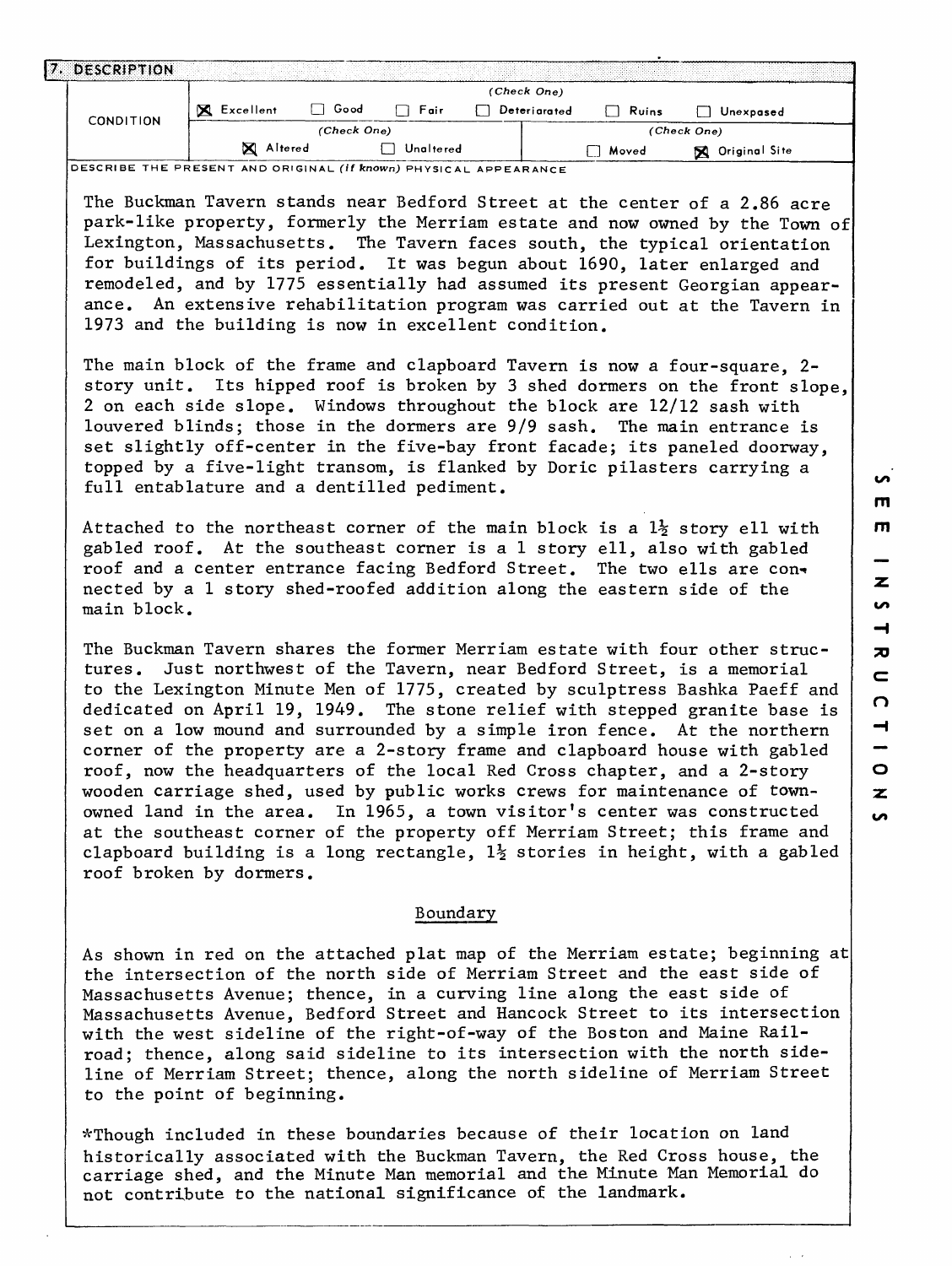| <b>DESCRIPTION</b><br>. |                |             |           |              |       |                    |  |
|-------------------------|----------------|-------------|-----------|--------------|-------|--------------------|--|
|                         |                |             |           | (Check One)  |       |                    |  |
| <b>CONDITION</b>        | ×<br>Excellent | Good        | Fair      | Deteriarated | Ruins | Unexpased          |  |
|                         |                | (Check One) |           |              |       | (Check One)        |  |
|                         | Altered        |             | Unaltered |              | Moved | Original Site<br>X |  |

DESCRIBE THE PRESENT AND ORIGINAL **(If known)** PHYSICAL APPEARANCE

The Buckman Tavern stands near Bedford Street at the center of a 2.86 acre park-like property, formerly the Merriam estate and now owned by the Town of Lexington, Massachusetts. The Tavern faces south, the typical orientation for buildings of its period. It was begun about 1690, later enlarged and remodeled, and by 1775 essentially had assumed its present Georgian appearance. An extensive rehabilitation program was carried out at the Tavern in 1973 and the building is now in excellent condition.

The main block of the frame and clapboard Tavern is now a four-square, 2 story unit. Its hipped roof is broken by 3 shed dormers on the front slope, 2 on each side slope. Windows throughout the block are 12/12 sash with louvered blinds; those in the dormers are 9/9 sash. The main entrance is set slightly off-center in the five-bay front facade; its paneled doorway, topped by a five-light transom, is flanked by Doric pilasters carrying a full entablature and a dentilled pediment.

Attached to the northeast corner of the main block is a  $1\frac{1}{2}$  story ell with gabled roof. At the southeast corner is a 1 story ell, also with gabled roof and a center entrance facing Bedford Street. The two ells are connected by a 1 story shed-roofed addition along the eastern side of the main block.

The Buckman Tavern shares the former Merriam estate with four other structures. Just northwest of the Tavern, near Bedford Street, is a memorial to the Lexington Minute Men of 1775, created by sculptress Bashka Paeff and dedicated on April 19, 1949. The stone relief with stepped granite base is set on a low mound and surrounded by a simple iron fence. At the northern corner of the property are a 2-story frame and clapboard house with gabled roof, now the headquarters of the local Red Cross chapter, and a 2-story wooden carriage shed, used by public works crews for maintenance of townowned land in the area. In 1965, a town visitor's center was constructed at the southeast corner of the property off Merriam Street; this frame and clapboard building is a long rectangle,  $1\frac{1}{2}$  stories in height, with a gabled roof broken by dormers.

## Boundary

As shown in red on the attached plat map of the Merriam estate; beginning at the intersection of the north side of Merriam Street and the east side of Massachusetts Avenue; thence, in a curving line along the east side of Massachusetts Avenue, Bedford Street and Hancock Street to its intersection with the west sideline of the right-of-way of the Boston and Maine Railroad; thence, along said sideline to its intersection with the north sideline of Merriam Street; thence, along the north sideline of Merriam Street to the point of beginning.

^Though included in these boundaries because of their location on land historically associated with the Buckman Tavern, the Red Cross house, the carriage shed, and the Minute Man memorial and the Minute Man Memorial do not contribute to the national significance of the landmark.

**in**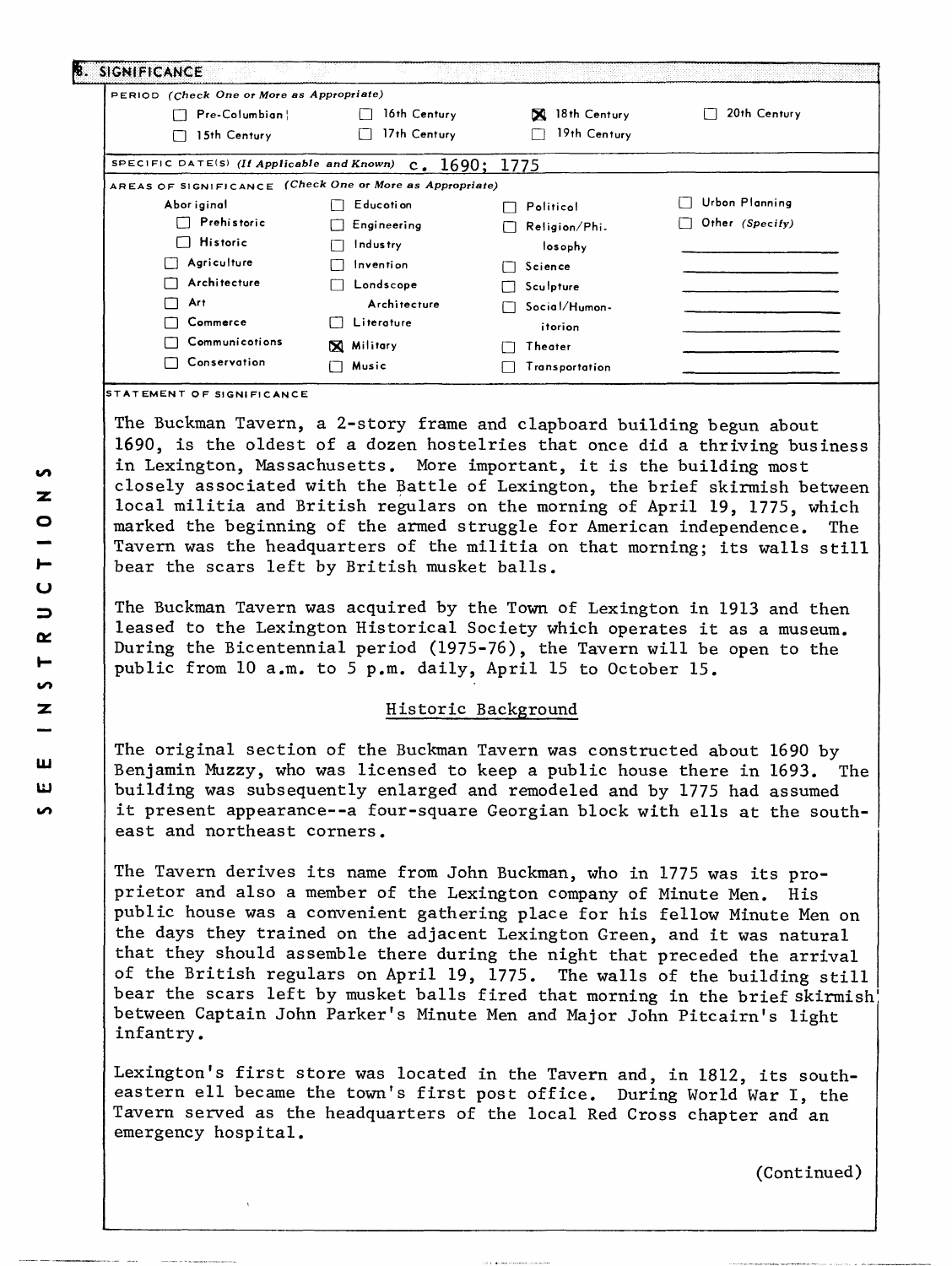| PERIOD (Check One or More as Appropriate)                  |                   |                    |                 |  |
|------------------------------------------------------------|-------------------|--------------------|-----------------|--|
| Pre-Columbian!                                             | 16th Century      | 18th Century<br>X. | 20th Century    |  |
| 15th Century                                               | 17th Century      | 19th Century       |                 |  |
| SPECIFIC DATE(S) (If Applicable and Known) $c. 1690; 1775$ |                   |                    |                 |  |
| AREAS OF SIGNIFICANCE (Check One or More as Appropriate)   |                   |                    |                 |  |
| Abor iginal                                                | Educoti on        | Politicol          | Urbon Planning  |  |
| Prehistoric                                                | Engineering       | Religion/Phi.      | Other (Specify) |  |
| $\Box$ Historic                                            | Industry          | losophy            |                 |  |
| Agriculture                                                | Invention         | Science            |                 |  |
| Architecture                                               | Londscope         | Sculpture          |                 |  |
| Art                                                        | Architecture      | Social/Humon-      |                 |  |
| Commerce                                                   | Literature        | itorion            |                 |  |
| Communications                                             | <b>X</b> Military | Theater            |                 |  |
| Conservation                                               | Music             | Transportation     |                 |  |

**STEMENT OF SIGNIFICANCE** 

The Buckman Tavern, a 2-story frame and clapboard building begun about 1690, is the oldest of a dozen hostelries that once did a thriving business in Lexington, Massachusetts. More important, it is the building most closely associated with the Battle of Lexington, the brief skirmish between local militia and British regulars on the morning of April 19, 1775, which marked the beginning of the armed struggle for American independence. The Tavern was the headquarters of the militia on that morning; its walls still bear the scars left by British musket balls.

The Buckman Tavern was acquired by the Town of Lexington in 1913 and then leased to the Lexington Historical Society which operates it as a museum. During the Bicentennial period (1975-76), the Tavern will be open to the public from 10 a.m. to 5 p.m. daily, April 15 to October 15.

## Historic Background

The original section of the Buckman Tavern was constructed about 1690 by Benjamin Muzzy, who was licensed to keep a public house there in 1693. The building was subsequently enlarged and remodeled and by 1775 had assumed it present appearance--a four-square Georgian block with ells at the southeast and northeast corners.

The Tavern derives its name from John Buckman, who in 1775 was its proprietor and also a member of the Lexington company of Minute Men. His public house was a convenient gathering place for his fellow Minute Men on the days they trained on the adjacent Lexington Green, and it was natural that they should assemble there during the night that preceded the arrival of the British regulars on April 19, 1775. The walls of the building still bear the scars left by musket balls fired that morning in the brief skirmish between Captain John Parker's Minute Men and Major John Pitcairn's light infantry.

Lexington's first store was located in the Tavern and, in 1812, its southeastern ell became the town's first post office. During World War I, the Tavern served as the headquarters of the local Red Cross chapter and an emergency hospital.

(Continued)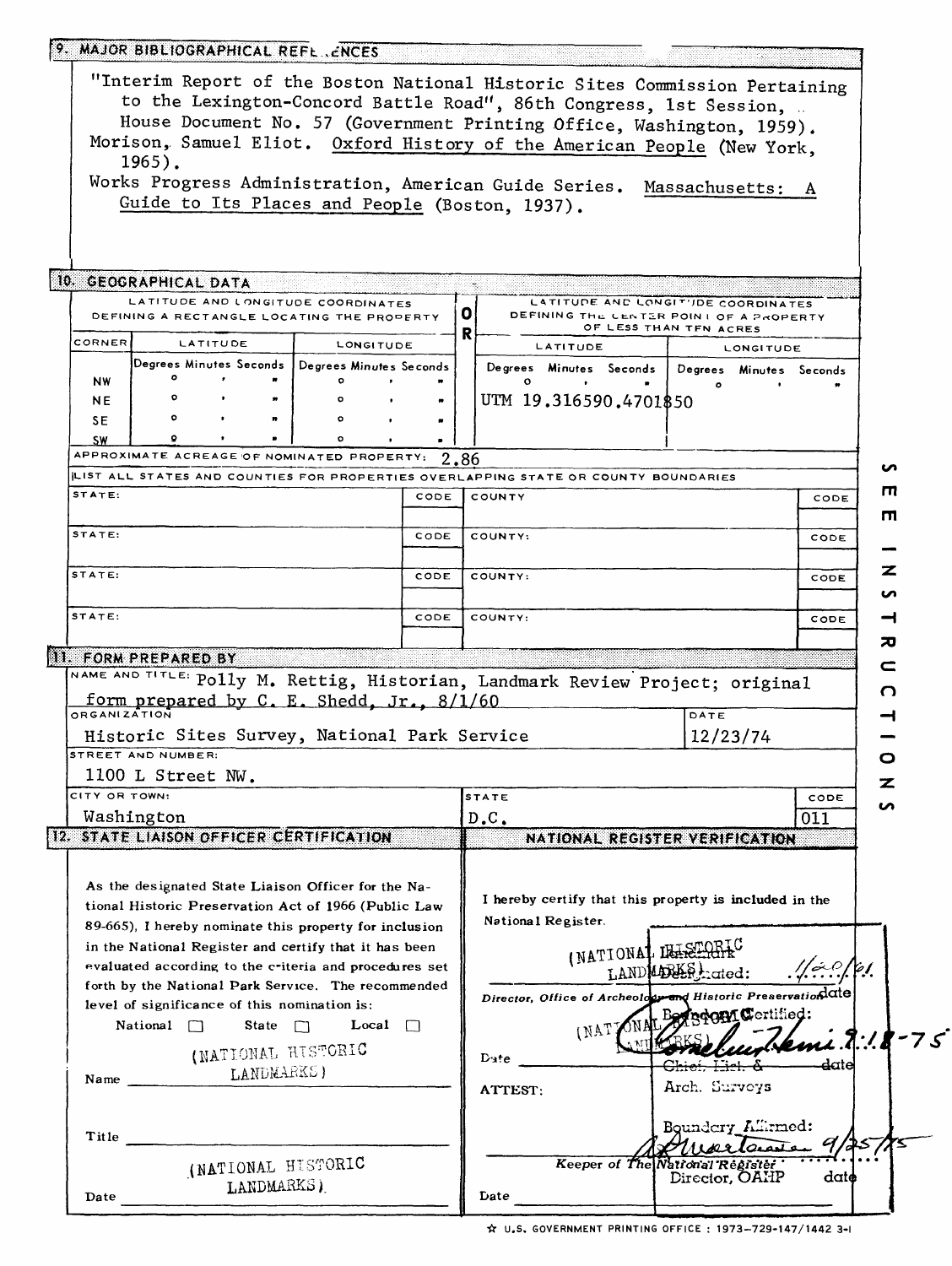|                                                                                                                                             | 9. MAJOR BIBLIOGRAPHICAL REFL. ENCES                                             |              |                    |              |      |      |                                                                                     |                                     |                    |
|---------------------------------------------------------------------------------------------------------------------------------------------|----------------------------------------------------------------------------------|--------------|--------------------|--------------|------|------|-------------------------------------------------------------------------------------|-------------------------------------|--------------------|
|                                                                                                                                             |                                                                                  |              |                    |              |      |      | "Interim Report of the Boston National Historic Sites Commission Pertaining         |                                     |                    |
|                                                                                                                                             |                                                                                  |              |                    |              |      |      |                                                                                     |                                     |                    |
| to the Lexington-Concord Battle Road", 86th Congress, 1st Session,<br>House Document No. 57 (Government Printing Office, Washington, 1959). |                                                                                  |              |                    |              |      |      |                                                                                     |                                     |                    |
|                                                                                                                                             |                                                                                  |              |                    |              |      |      |                                                                                     |                                     |                    |
| Morison, Samuel Eliot. Oxford History of the American People (New York,<br>$1965$ .                                                         |                                                                                  |              |                    |              |      |      |                                                                                     |                                     |                    |
|                                                                                                                                             |                                                                                  |              |                    |              |      |      | Works Progress Administration, American Guide Series.                               |                                     |                    |
|                                                                                                                                             | Guide to Its Places and People (Boston, 1937).                                   |              |                    |              |      |      |                                                                                     | Massachusetts:                      | A                  |
|                                                                                                                                             |                                                                                  |              |                    |              |      |      |                                                                                     |                                     |                    |
|                                                                                                                                             |                                                                                  |              |                    |              |      |      |                                                                                     |                                     |                    |
|                                                                                                                                             |                                                                                  |              |                    |              |      |      |                                                                                     |                                     |                    |
|                                                                                                                                             | 10. GEOGRAPHICAL DATA                                                            |              |                    |              |      |      |                                                                                     |                                     |                    |
|                                                                                                                                             | LATITUDE AND LONGITUDE COORDINATES<br>DEFINING A RECTANGLE LOCATING THE PROPERTY |              |                    |              |      | 0    | DEFINING THE CENTER POINT OF A PROPERTY                                             | LATITUDE AND LONGIT'IDE COORDINATES |                    |
|                                                                                                                                             |                                                                                  |              |                    |              |      | R    |                                                                                     | OF LESS THAN TFN ACRES              |                    |
| CORNER                                                                                                                                      | <b>LATITUDE</b>                                                                  |              |                    | LONGITUDE    |      |      | LATITUDE                                                                            | <b>LONGITUDE</b>                    |                    |
|                                                                                                                                             | Degrees Minutes Seconds   Degrees Minutes Seconds                                |              |                    |              |      |      | Degrees Minutes Seconds  <br>$\circ$                                                | Degrees Minutes Seconds             |                    |
| <b>NW</b><br><b>NE</b>                                                                                                                      | ۰                                                                                |              |                    |              |      |      | UTM 19.316590.4701\$50                                                              | $\bullet$                           |                    |
| SE.                                                                                                                                         | $\circ$                                                                          |              |                    |              |      |      |                                                                                     |                                     |                    |
| <b>SW</b>                                                                                                                                   | ۰                                                                                |              |                    |              |      |      |                                                                                     |                                     |                    |
|                                                                                                                                             | APPROXIMATE ACREAGE OF NOMINATED PROPERTY:                                       |              |                    |              |      | 2.86 |                                                                                     |                                     |                    |
|                                                                                                                                             |                                                                                  |              |                    |              |      |      | ILIST ALL STATES AND COUNTIES FOR PROPERTIES OVERLAPPING STATE OR COUNTY BOUNDARIES |                                     | ın                 |
| STATE:                                                                                                                                      |                                                                                  |              |                    |              | CODE |      | COUNTY                                                                              |                                     | Ш<br>CODE          |
|                                                                                                                                             |                                                                                  |              |                    |              |      |      |                                                                                     |                                     | п                  |
| STATE:                                                                                                                                      |                                                                                  |              |                    |              | CODE |      | COUNTY:                                                                             |                                     | CODE               |
|                                                                                                                                             |                                                                                  |              |                    |              |      |      |                                                                                     |                                     |                    |
| STATE:                                                                                                                                      |                                                                                  |              |                    |              | CODE |      | COUNTY:                                                                             |                                     | z<br>CODE          |
|                                                                                                                                             |                                                                                  |              |                    |              |      |      |                                                                                     |                                     | n                  |
| STATE:                                                                                                                                      |                                                                                  |              |                    |              | CODE |      | COUNTY:                                                                             |                                     | CODE<br>⊣          |
|                                                                                                                                             |                                                                                  |              |                    |              |      |      |                                                                                     |                                     | ᅍ                  |
|                                                                                                                                             | 11. FORM PREPARED BY                                                             |              |                    |              |      |      |                                                                                     |                                     |                    |
|                                                                                                                                             |                                                                                  |              |                    |              |      |      | NAME AND TITLE: Polly M. Rettig, Historian, Landmark Review Project; original       |                                     | c                  |
|                                                                                                                                             | form prepared by C. E. Shedd, Jr., 8/1/60                                        |              |                    |              |      |      |                                                                                     |                                     | O                  |
| ORGANIZATION                                                                                                                                |                                                                                  |              |                    |              |      |      |                                                                                     | DATE                                |                    |
|                                                                                                                                             | Historic Sites Survey, National Park Service                                     |              |                    |              |      |      |                                                                                     | 12/23/74                            |                    |
|                                                                                                                                             | STREET AND NUMBER:                                                               |              |                    |              |      |      |                                                                                     |                                     | o                  |
|                                                                                                                                             | 1100 L Street NW.                                                                |              |                    |              |      |      |                                                                                     |                                     | z                  |
| CITY OR TOWN:                                                                                                                               |                                                                                  |              |                    |              |      |      | STATE                                                                               |                                     | CODE<br>ທ          |
|                                                                                                                                             | Washington                                                                       |              |                    |              |      |      | D.C.                                                                                |                                     | 011                |
|                                                                                                                                             | 12. STATE LIAISON OFFICER CERTIFICATION                                          |              |                    |              |      |      | NATIONAL REGISTER VERIFICATION                                                      |                                     |                    |
|                                                                                                                                             |                                                                                  |              |                    |              |      |      |                                                                                     |                                     |                    |
|                                                                                                                                             | As the designated State Liaison Officer for the Na-                              |              |                    |              |      |      |                                                                                     |                                     |                    |
|                                                                                                                                             | tional Historic Preservation Act of 1966 (Public Law                             |              |                    |              |      |      | I hereby certify that this property is included in the                              |                                     |                    |
|                                                                                                                                             | 89-665), I hereby nominate this property for inclusion                           |              |                    |              |      |      | National Register.                                                                  |                                     |                    |
|                                                                                                                                             | in the National Register and certify that it has been                            |              |                    |              |      |      |                                                                                     |                                     |                    |
|                                                                                                                                             | evaluated according to the criteria and procedures set                           |              |                    |              |      |      | (NATIONAL LEASEDHEC                                                                 |                                     | ا 0. شم/<br>مان من |
|                                                                                                                                             | forth by the National Park Service. The recommended                              |              |                    |              |      |      |                                                                                     | LAND LDEER Lated:                   |                    |
|                                                                                                                                             | level of significance of this nomination is:                                     |              |                    |              |      |      | Director, Office of Archeology and Historic Preservation date                       |                                     |                    |
|                                                                                                                                             | National $\Box$                                                                  | State $\Box$ |                    | Local $\Box$ |      |      |                                                                                     | Begreem Certified:                  |                    |
|                                                                                                                                             |                                                                                  |              |                    |              |      |      | (NAT)                                                                               |                                     | $m1.7.18 - 75$     |
|                                                                                                                                             |                                                                                  |              | (NATIONAL HISTORIC |              |      |      | ${\bf D}$ ate                                                                       |                                     | date               |
| Name LANDMARKS)                                                                                                                             |                                                                                  |              |                    |              |      |      |                                                                                     | Arch. Surveys                       |                    |
|                                                                                                                                             |                                                                                  |              |                    |              |      |      | ATTEST:                                                                             |                                     |                    |
|                                                                                                                                             |                                                                                  |              |                    |              |      |      |                                                                                     |                                     |                    |
| Title                                                                                                                                       |                                                                                  |              |                    |              |      |      |                                                                                     | Boundery_All:rmed:<br>wartansen     |                    |
|                                                                                                                                             |                                                                                  |              | (NATIONAL HISTORIC |              |      |      |                                                                                     | Keeper of The National Register     |                    |
|                                                                                                                                             |                                                                                  | LANDMARKS)   |                    |              |      |      |                                                                                     | Director, OAHP                      | date               |
| Date                                                                                                                                        |                                                                                  |              |                    |              |      |      | Date                                                                                |                                     |                    |
|                                                                                                                                             |                                                                                  |              |                    |              |      |      |                                                                                     |                                     |                    |